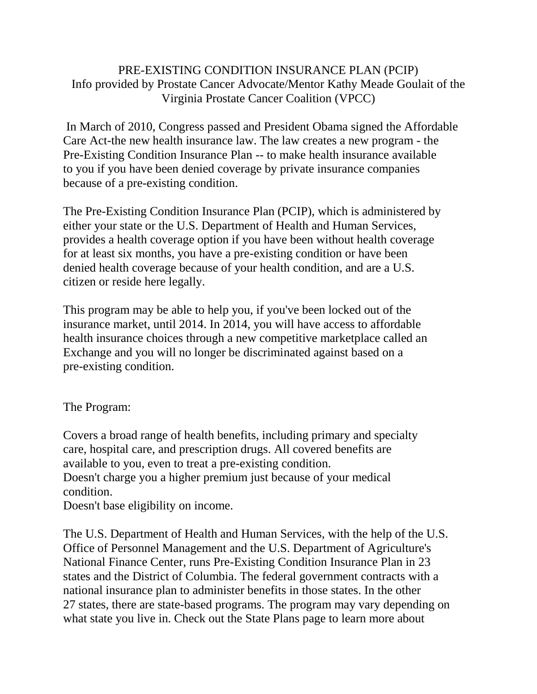## PRE-EXISTING CONDITION INSURANCE PLAN (PCIP) Info provided by Prostate Cancer Advocate/Mentor Kathy Meade Goulait of the Virginia Prostate Cancer Coalition (VPCC)

In March of 2010, Congress passed and President Obama signed the Affordable Care Act-the new health insurance law. The law creates a new program - the Pre-Existing Condition Insurance Plan -- to make health insurance available to you if you have been denied coverage by private insurance companies because of a pre-existing condition.

The Pre-Existing Condition Insurance Plan (PCIP), which is administered by either your state or the U.S. Department of Health and Human Services, provides a health coverage option if you have been without health coverage for at least six months, you have a pre-existing condition or have been denied health coverage because of your health condition, and are a U.S. citizen or reside here legally.

This program may be able to help you, if you've been locked out of the insurance market, until 2014. In 2014, you will have access to affordable health insurance choices through a new competitive marketplace called an Exchange and you will no longer be discriminated against based on a pre-existing condition.

The Program:

Covers a broad range of health benefits, including primary and specialty care, hospital care, and prescription drugs. All covered benefits are available to you, even to treat a pre-existing condition. Doesn't charge you a higher premium just because of your medical condition.

Doesn't base eligibility on income.

The U.S. Department of Health and Human Services, with the help of the U.S. Office of Personnel Management and the U.S. Department of Agriculture's National Finance Center, runs Pre-Existing Condition Insurance Plan in 23 states and the District of Columbia. The federal government contracts with a national insurance plan to administer benefits in those states. In the other 27 states, there are state-based programs. The program may vary depending on what state you live in. Check out the State Plans page to learn more about